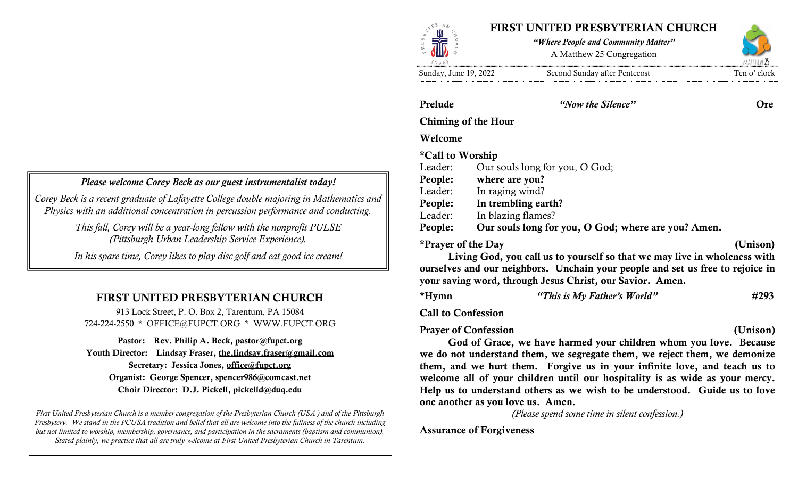### Please welcome Corey Beck as our guest instrumentalist today!

Corey Beck is a recent graduate of Lafayette College double majoring in Mathematics and Physics with an additional concentration in percussion performance and conducting.

> This fall, Corey will be a year-long fellow with the nonprofit PULSE (Pittsburgh Urban Leadership Service Experience).

> In his spare time, Corey likes to play disc golf and eat good ice cream!

# FIRST UNITED PRESBYTERIAN CHURCH

913 Lock Street, P. O. Box 2, Tarentum, PA 15084 724-224-2550 \* OFFICE@FUPCT.ORG \* WWW.FUPCT.ORG

Pastor: Rev. Philip A. Beck, pastor@fupct.org Youth Director: Lindsay Fraser, the.lindsay.fraser@gmail.com Secretary: Jessica Jones, office@fupct.org Organist: George Spencer, spencer986@comcast.net Choir Director: D.J. Pickell, pickelld@duq.edu

First United Presbyterian Church is a member congregation of the Presbyterian Church (USA ) and of the Pittsburgh Presbytery. We stand in the PCUSA tradition and belief that all are welcome into the fullness of the church including but not limited to worship, membership, governance, and participation in the sacraments (baptism and communion). Stated plainly, we practice that all are truly welcome at First United Presbyterian Church in Tarentum.



Prelude "Now the Silence" Ore

Chiming of the Hour

### Welcome

\*Call to Worship

Leader: Our souls long for you, O God;

- People: where are you?
- Leader: In raging wind?
- People: In trembling earth?
- Leader: In blazing flames?

People: Our souls long for you, O God; where are you? Amen.

\*Prayer of the Day (Unison)

Living God, you call us to yourself so that we may live in wholeness with ourselves and our neighbors. Unchain your people and set us free to rejoice in your saving word, through Jesus Christ, our Savior. Amen.

\*Hymn  $"This is My Father's World"$   $#293$ 

Call to Confession

Prayer of Confession (Unison)

God of Grace, we have harmed your children whom you love. Because we do not understand them, we segregate them, we reject them, we demonize them, and we hurt them. Forgive us in your infinite love, and teach us to welcome all of your children until our hospitality is as wide as your mercy. Help us to understand others as we wish to be understood. Guide us to love one another as you love us. Amen.

(Please spend some time in silent confession.)

# Assurance of Forgiveness